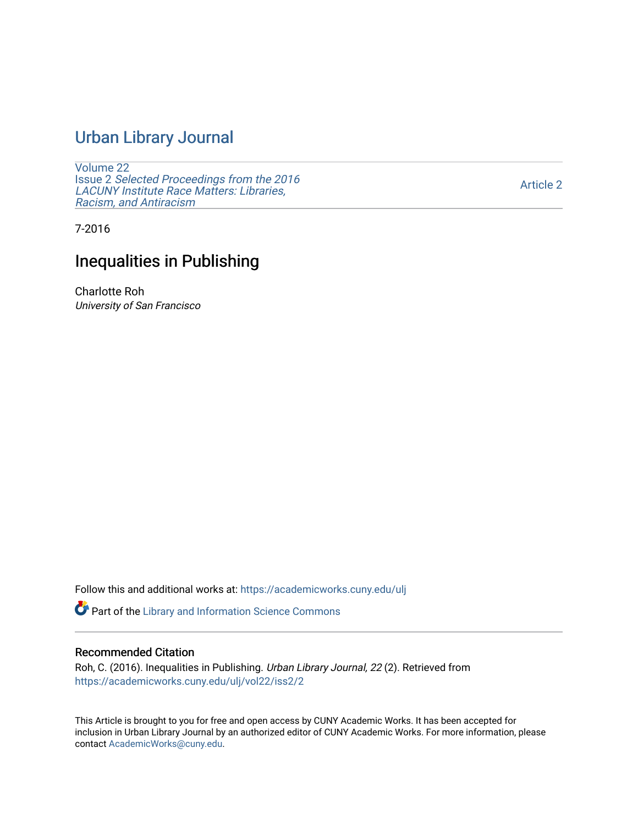## [Urban Library Journal](https://academicworks.cuny.edu/ulj)

[Volume 22](https://academicworks.cuny.edu/ulj/vol22) Issue 2 [Selected Proceedings from the 2016](https://academicworks.cuny.edu/ulj/vol22/iss2)  [LACUNY Institute Race Matters: Libraries,](https://academicworks.cuny.edu/ulj/vol22/iss2)  [Racism, and Antiracism](https://academicworks.cuny.edu/ulj/vol22/iss2)

[Article 2](https://academicworks.cuny.edu/ulj/vol22/iss2/2) 

7-2016

## Inequalities in Publishing

Charlotte Roh University of San Francisco

Follow this and additional works at: [https://academicworks.cuny.edu/ulj](https://academicworks.cuny.edu/ulj?utm_source=academicworks.cuny.edu%2Fulj%2Fvol22%2Fiss2%2F2&utm_medium=PDF&utm_campaign=PDFCoverPages)

Part of the [Library and Information Science Commons](http://network.bepress.com/hgg/discipline/1018?utm_source=academicworks.cuny.edu%2Fulj%2Fvol22%2Fiss2%2F2&utm_medium=PDF&utm_campaign=PDFCoverPages) 

#### Recommended Citation

Roh, C. (2016). Inequalities in Publishing. Urban Library Journal, 22 (2). Retrieved from [https://academicworks.cuny.edu/ulj/vol22/iss2/2](https://academicworks.cuny.edu/ulj/vol22/iss2/2?utm_source=academicworks.cuny.edu%2Fulj%2Fvol22%2Fiss2%2F2&utm_medium=PDF&utm_campaign=PDFCoverPages) 

This Article is brought to you for free and open access by CUNY Academic Works. It has been accepted for inclusion in Urban Library Journal by an authorized editor of CUNY Academic Works. For more information, please contact [AcademicWorks@cuny.edu.](mailto:AcademicWorks@cuny.edu)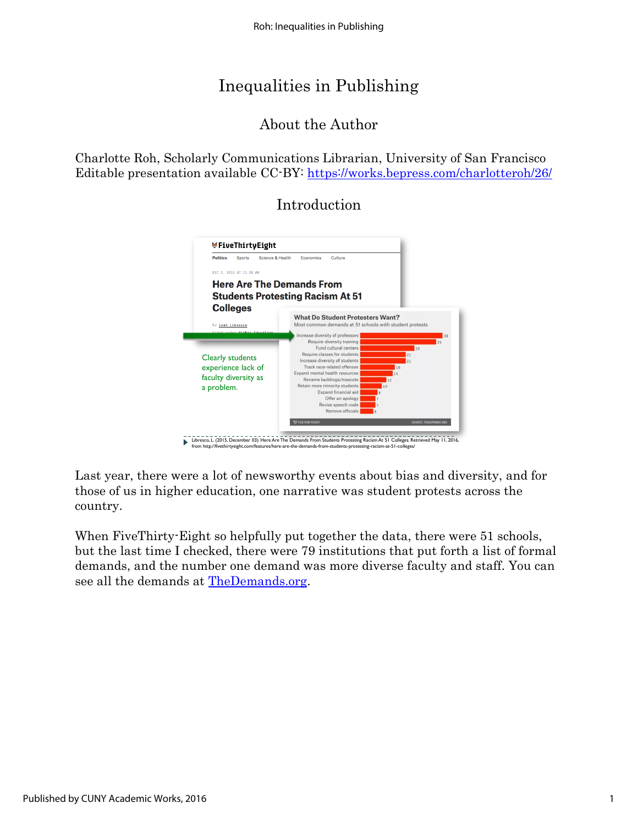# Inequalities in Publishing

## About the Author

Charlotte Roh, Scholarly Communications Librarian, University of San Francisco Editable presentation available CC-BY:<https://works.bepress.com/charlotteroh/26/>

## Introduction



Last year, there were a lot of newsworthy events about bias and diversity, and for those of us in higher education, one narrative was student protests across the country.

When FiveThirty-Eight so helpfully put together the data, there were 51 schools, but the last time I checked, there were 79 institutions that put forth a list of formal demands, and the number one demand was more diverse faculty and staff. You can see all the demands at [TheDemands.org.](http://www.thedemands.org/)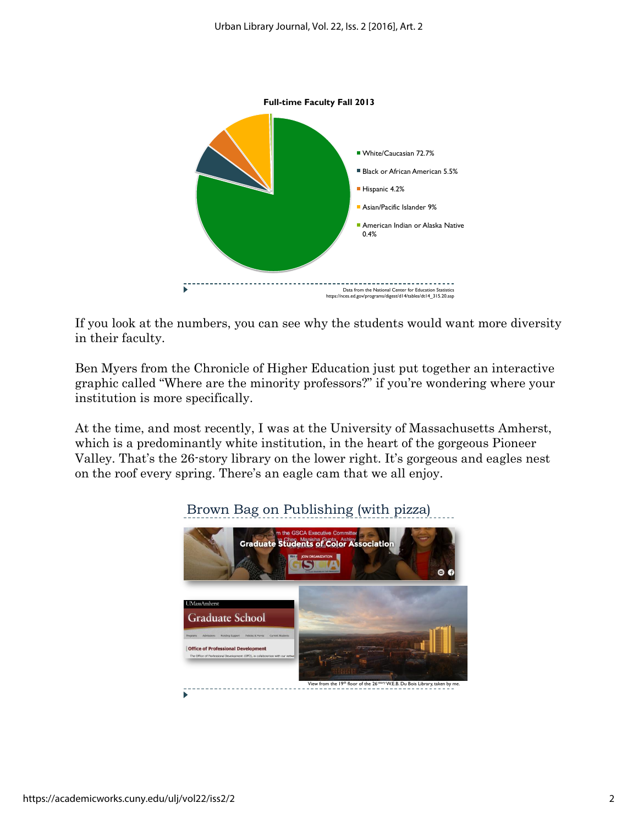

If you look at the numbers, you can see why the students would want more diversity in their faculty.

Ben Myers from the Chronicle of Higher Education just put together an interactive graphic called "Where are the minority professors?" if you're wondering where your institution is more specifically.

At the time, and most recently, I was at the University of Massachusetts Amherst, which is a predominantly white institution, in the heart of the gorgeous Pioneer Valley. That's the 26-story library on the lower right. It's gorgeous and eagles nest on the roof every spring. There's an eagle cam that we all enjoy.



### Brown Bag on Publishing (with pizza)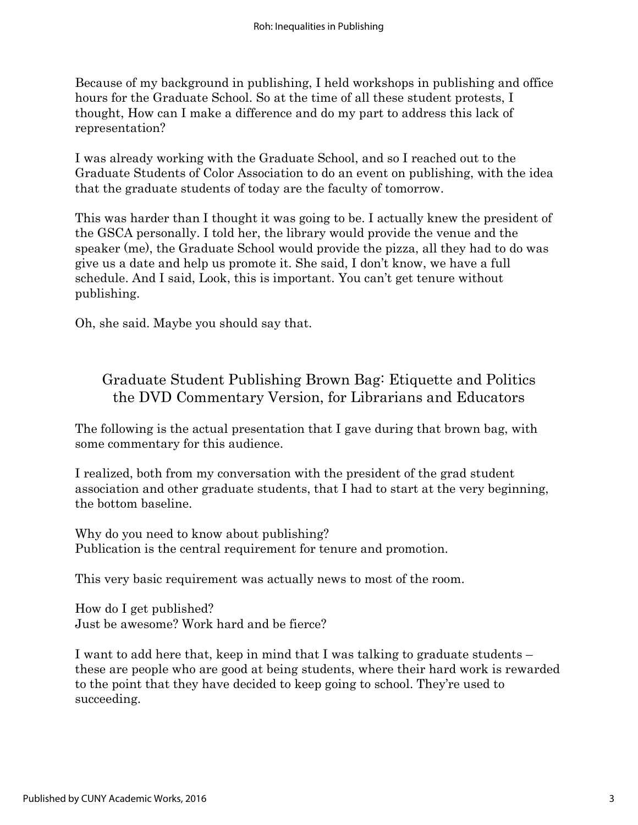Because of my background in publishing, I held workshops in publishing and office hours for the Graduate School. So at the time of all these student protests, I thought, How can I make a difference and do my part to address this lack of representation?

I was already working with the Graduate School, and so I reached out to the Graduate Students of Color Association to do an event on publishing, with the idea that the graduate students of today are the faculty of tomorrow.

This was harder than I thought it was going to be. I actually knew the president of the GSCA personally. I told her, the library would provide the venue and the speaker (me), the Graduate School would provide the pizza, all they had to do was give us a date and help us promote it. She said, I don't know, we have a full schedule. And I said, Look, this is important. You can't get tenure without publishing.

Oh, she said. Maybe you should say that.

## Graduate Student Publishing Brown Bag: Etiquette and Politics the DVD Commentary Version, for Librarians and Educators

The following is the actual presentation that I gave during that brown bag, with some commentary for this audience.

I realized, both from my conversation with the president of the grad student association and other graduate students, that I had to start at the very beginning, the bottom baseline.

Why do you need to know about publishing? Publication is the central requirement for tenure and promotion.

This very basic requirement was actually news to most of the room.

How do I get published? Just be awesome? Work hard and be fierce?

I want to add here that, keep in mind that I was talking to graduate students – these are people who are good at being students, where their hard work is rewarded to the point that they have decided to keep going to school. They're used to succeeding.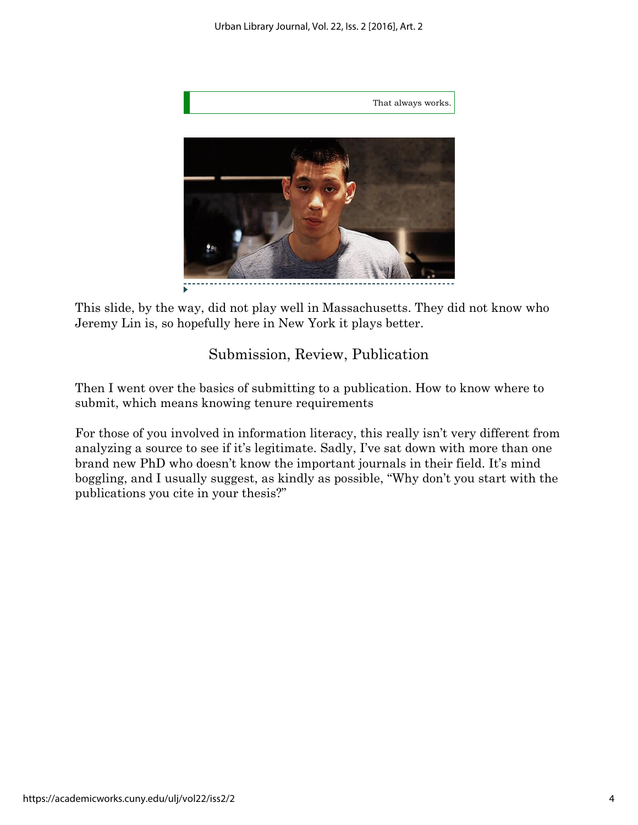

This slide, by the way, did not play well in Massachusetts. They did not know who Jeremy Lin is, so hopefully here in New York it plays better.

## Submission, Review, Publication

Then I went over the basics of submitting to a publication. How to know where to submit, which means knowing tenure requirements

For those of you involved in information literacy, this really isn't very different from analyzing a source to see if it's legitimate. Sadly, I've sat down with more than one brand new PhD who doesn't know the important journals in their field. It's mind boggling, and I usually suggest, as kindly as possible, "Why don't you start with the publications you cite in your thesis?"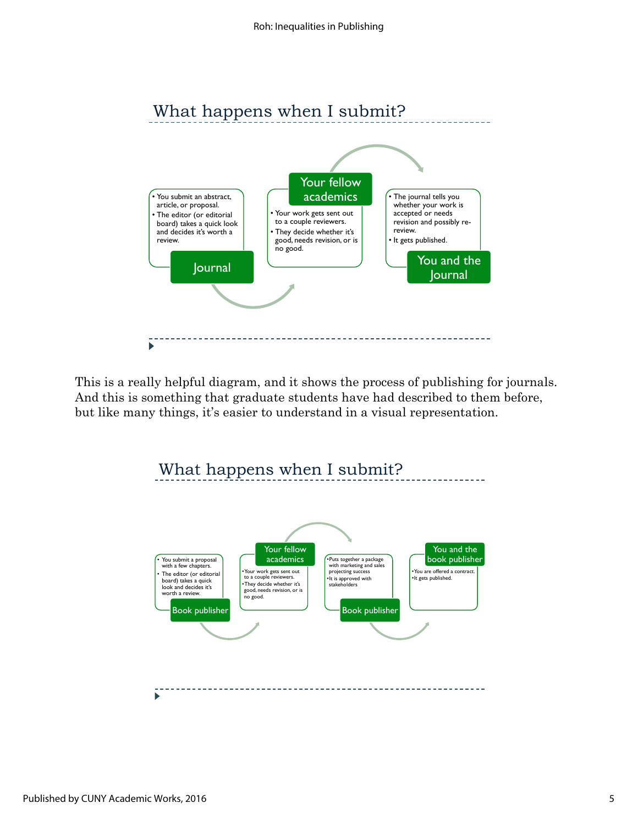

This is a really helpful diagram, and it shows the process of publishing for journals. And this is something that graduate students have had described to them before, but like many things, it's easier to understand in a visual representation.

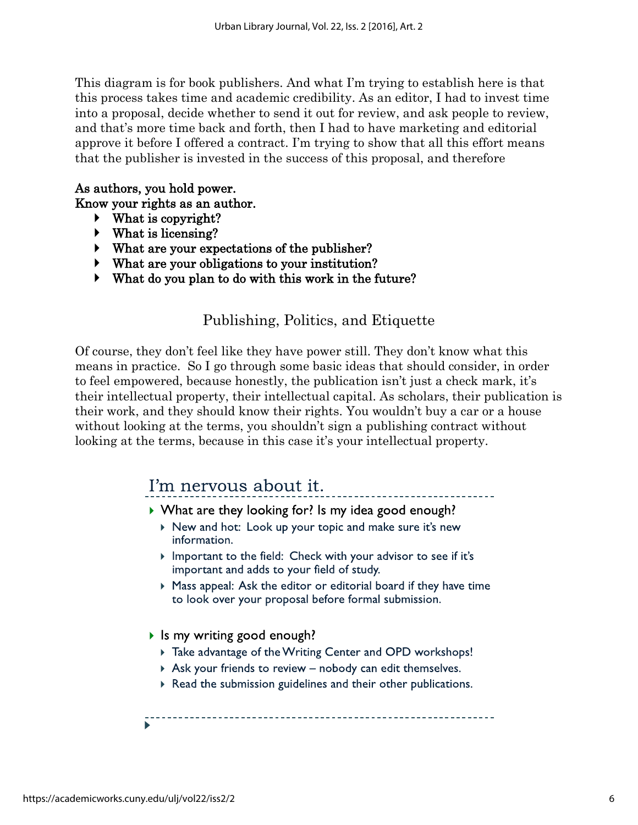This diagram is for book publishers. And what I'm trying to establish here is that this process takes time and academic credibility. As an editor, I had to invest time into a proposal, decide whether to send it out for review, and ask people to review, and that's more time back and forth, then I had to have marketing and editorial approve it before I offered a contract. I'm trying to show that all this effort means that the publisher is invested in the success of this proposal, and therefore

### As authors, you hold power.

Know your rights as an author.

- What is copyright?
- What is licensing?
- What are your expectations of the publisher?
- What are your obligations to your institution?
- What do you plan to do with this work in the future?

### Publishing, Politics, and Etiquette

Of course, they don't feel like they have power still. They don't know what this means in practice. So I go through some basic ideas that should consider, in order to feel empowered, because honestly, the publication isn't just a check mark, it's their intellectual property, their intellectual capital. As scholars, their publication is their work, and they should know their rights. You wouldn't buy a car or a house without looking at the terms, you shouldn't sign a publishing contract without looking at the terms, because in this case it's your intellectual property.

# I'm nervous about it.

- ▶ What are they looking for? Is my idea good enough?
	- ▶ New and hot: Look up your topic and make sure it's new information.
	- Important to the field: Check with your advisor to see if it's important and adds to your field of study.
	- ▶ Mass appeal: Ask the editor or editorial board if they have time to look over your proposal before formal submission.
- If Is my writing good enough?
	- Take advantage of the Writing Center and OPD workshops!
	- $\triangleright$  Ask your friends to review  $-$  nobody can edit themselves.
	- Read the submission guidelines and their other publications.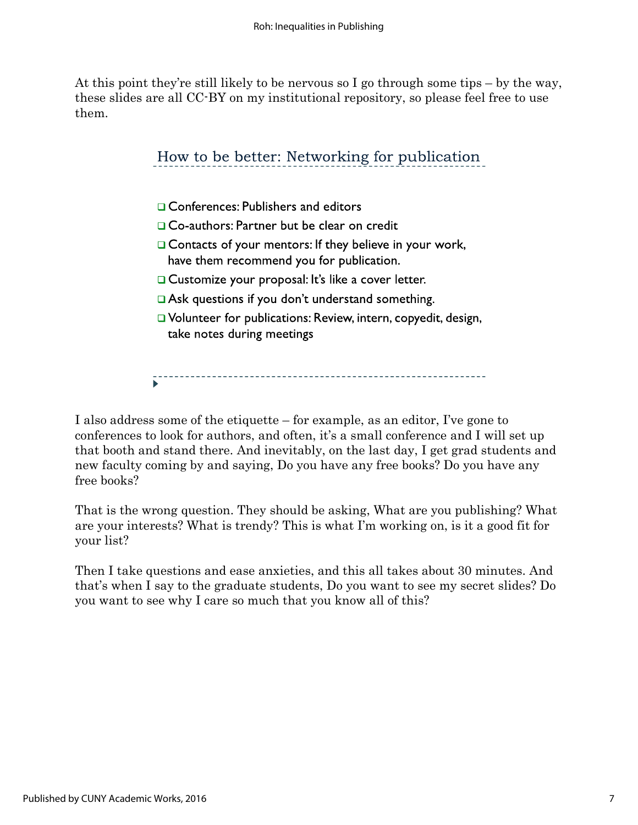At this point they're still likely to be nervous so I go through some tips – by the way, these slides are all CC-BY on my institutional repository, so please feel free to use them.

> How to be better: Networking for publication □ Conferences: Publishers and editors □ Co-authors: Partner but be clear on credit □ Contacts of your mentors: If they believe in your work, have them recommend you for publication. □ Customize your proposal: It's like a cover letter. Ask questions if you don't understand something. □ Volunteer for publications: Review, intern, copyedit, design, take notes during meetings

I also address some of the etiquette – for example, as an editor, I've gone to conferences to look for authors, and often, it's a small conference and I will set up that booth and stand there. And inevitably, on the last day, I get grad students and new faculty coming by and saying, Do you have any free books? Do you have any free books?

That is the wrong question. They should be asking, What are you publishing? What are your interests? What is trendy? This is what I'm working on, is it a good fit for your list?

Then I take questions and ease anxieties, and this all takes about 30 minutes. And that's when I say to the graduate students, Do you want to see my secret slides? Do you want to see why I care so much that you know all of this?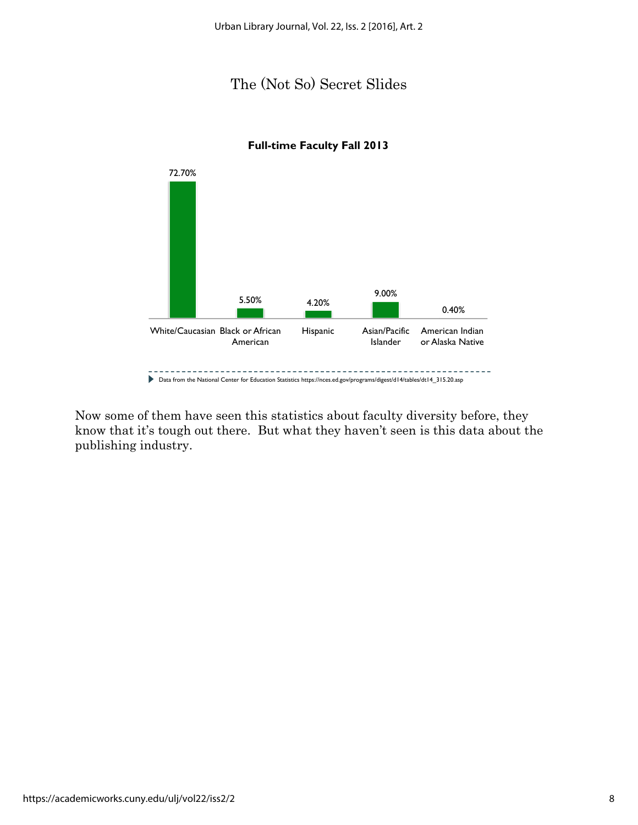## The (Not So) Secret Slides



#### **Full-time Faculty Fall 2013**

Now some of them have seen this statistics about faculty diversity before, they know that it's tough out there. But what they haven't seen is this data about the publishing industry.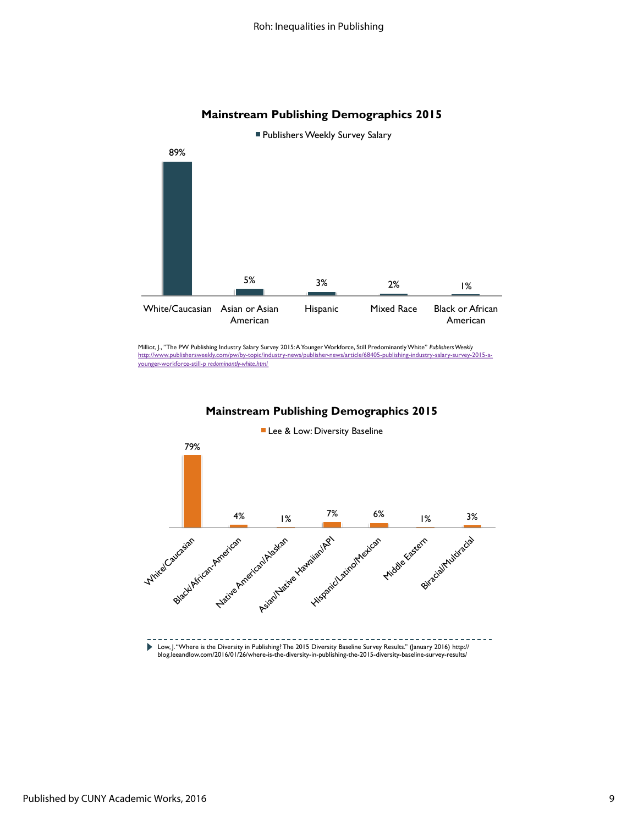#### **Mainstream Publishing Demographics 2015**



Milliot, J., "The PW Publishing Industry Salary Survey 2015:A Younger Workforce, Still Predominantly White" *Publishers Weekly* http://www.publishersweekly.com/pw/by-topic/industry-news/publisher-news/article/68405-publishing-industry-salary-survey-2015-ayounger-workforce-still-p *redominantly-white.html*



**Mainstream Publishing Demographics 2015**

**Publishers Weekly Survey Salary**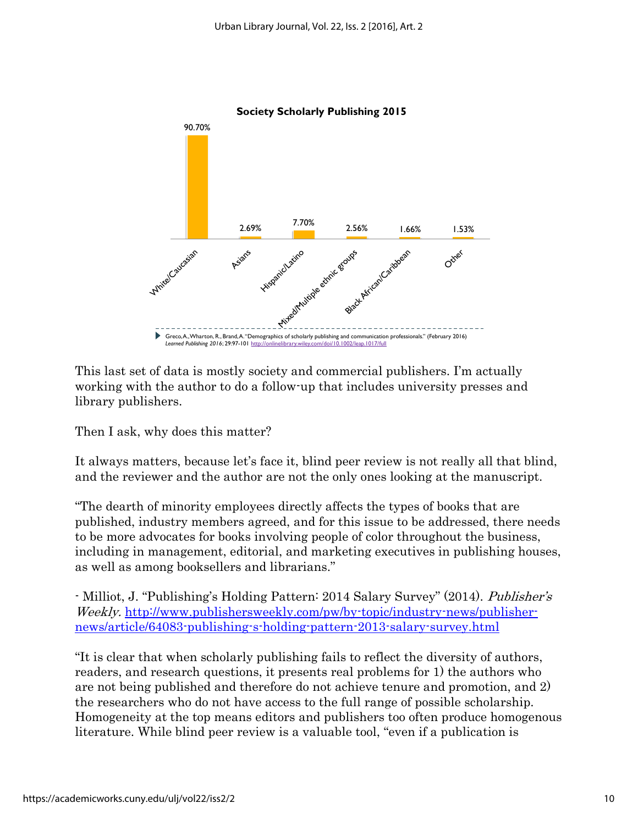

This last set of data is mostly society and commercial publishers. I'm actually working with the author to do a follow-up that includes university presses and library publishers.

Then I ask, why does this matter?

It always matters, because let's face it, blind peer review is not really all that blind, and the reviewer and the author are not the only ones looking at the manuscript.

"The dearth of minority employees directly affects the types of books that are published, industry members agreed, and for this issue to be addressed, there needs to be more advocates for books involving people of color throughout the business, including in management, editorial, and marketing executives in publishing houses, as well as among booksellers and librarians."

- Milliot, J. "Publishing's Holding Pattern: 2014 Salary Survey" (2014). Publisher's Weekly. [http://www.publishersweekly.com/pw/by-topic/industry-news/publisher](http://www.publishersweekly.com/pw/by-topic/industry-news/publisher-news/article/64083-publishing-s-holding-pattern-2013-salary-survey.html)[news/article/64083-publishing-s-holding-pattern-2013-salary-survey.html](http://www.publishersweekly.com/pw/by-topic/industry-news/publisher-news/article/64083-publishing-s-holding-pattern-2013-salary-survey.html)

"It is clear that when scholarly publishing fails to reflect the diversity of authors, readers, and research questions, it presents real problems for 1) the authors who are not being published and therefore do not achieve tenure and promotion, and 2) the researchers who do not have access to the full range of possible scholarship. Homogeneity at the top means editors and publishers too often produce homogenous literature. While blind peer review is a valuable tool, "even if a publication is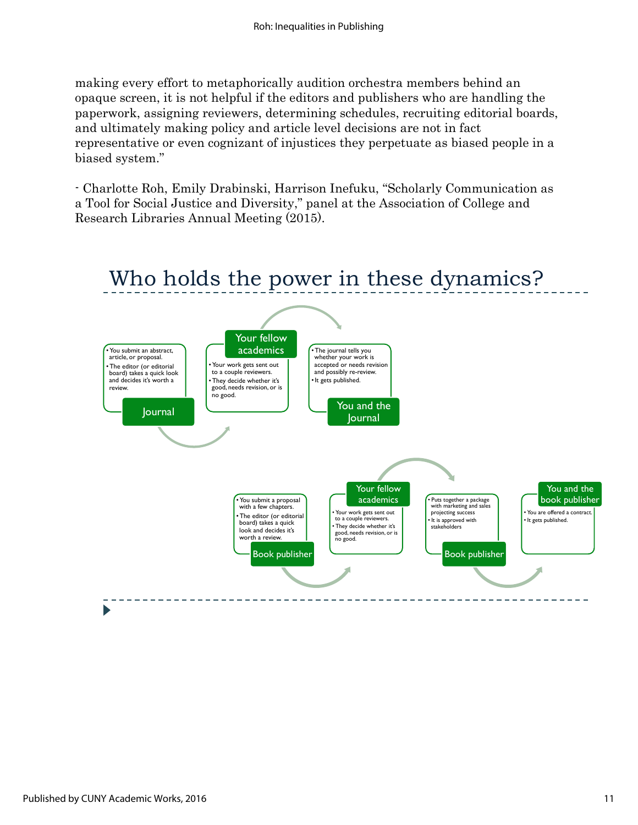making every effort to metaphorically audition orchestra members behind an opaque screen, it is not helpful if the editors and publishers who are handling the paperwork, assigning reviewers, determining schedules, recruiting editorial boards, and ultimately making policy and article level decisions are not in fact representative or even cognizant of injustices they perpetuate as biased people in a biased system."

- Charlotte Roh, Emily Drabinski, Harrison Inefuku, "Scholarly Communication as a Tool for Social Justice and Diversity," panel at the Association of College and Research Libraries Annual Meeting (2015).

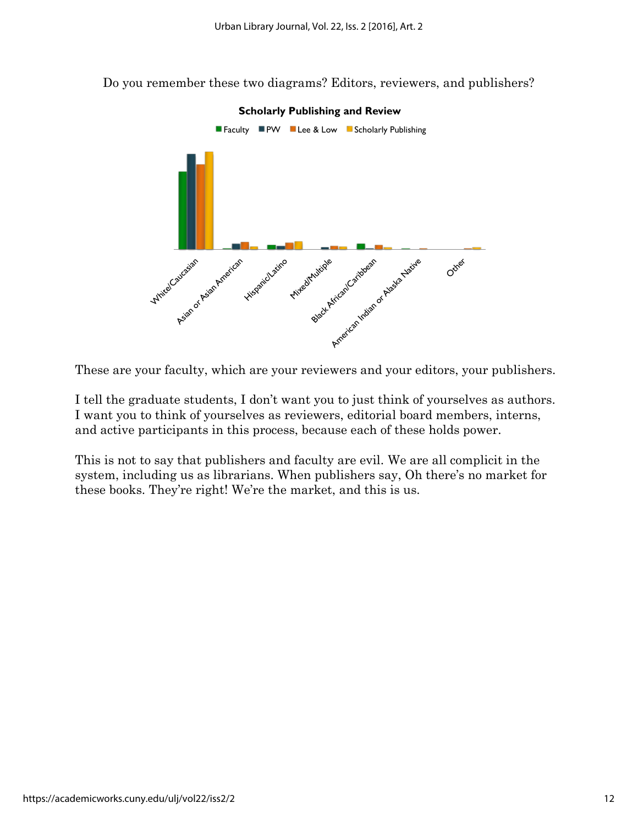Do you remember these two diagrams? Editors, reviewers, and publishers?



These are your faculty, which are your reviewers and your editors, your publishers.

I tell the graduate students, I don't want you to just think of yourselves as authors. I want you to think of yourselves as reviewers, editorial board members, interns, and active participants in this process, because each of these holds power.

This is not to say that publishers and faculty are evil. We are all complicit in the system, including us as librarians. When publishers say, Oh there's no market for these books. They're right! We're the market, and this is us.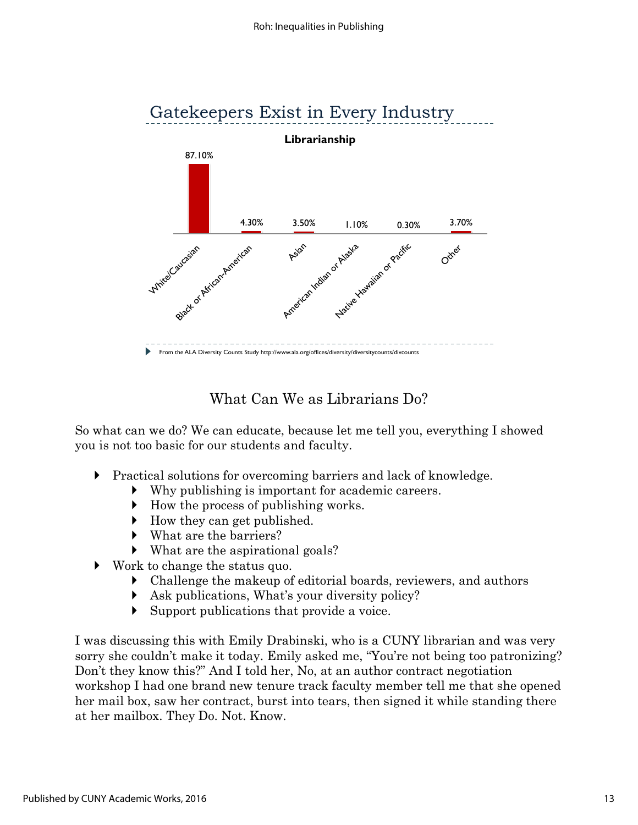

## What Can We as Librarians Do?

So what can we do? We can educate, because let me tell you, everything I showed you is not too basic for our students and faculty.

- Practical solutions for overcoming barriers and lack of knowledge.
	- Why publishing is important for academic careers.
	- $\blacktriangleright$  How the process of publishing works.
	- How they can get published.
	- What are the barriers?
	- What are the aspirational goals?
- Work to change the status quo.
	- Challenge the makeup of editorial boards, reviewers, and authors
	- Ask publications, What's your diversity policy?
	- Support publications that provide a voice.

I was discussing this with Emily Drabinski, who is a CUNY librarian and was very sorry she couldn't make it today. Emily asked me, "You're not being too patronizing? Don't they know this?" And I told her, No, at an author contract negotiation workshop I had one brand new tenure track faculty member tell me that she opened her mail box, saw her contract, burst into tears, then signed it while standing there at her mailbox. They Do. Not. Know.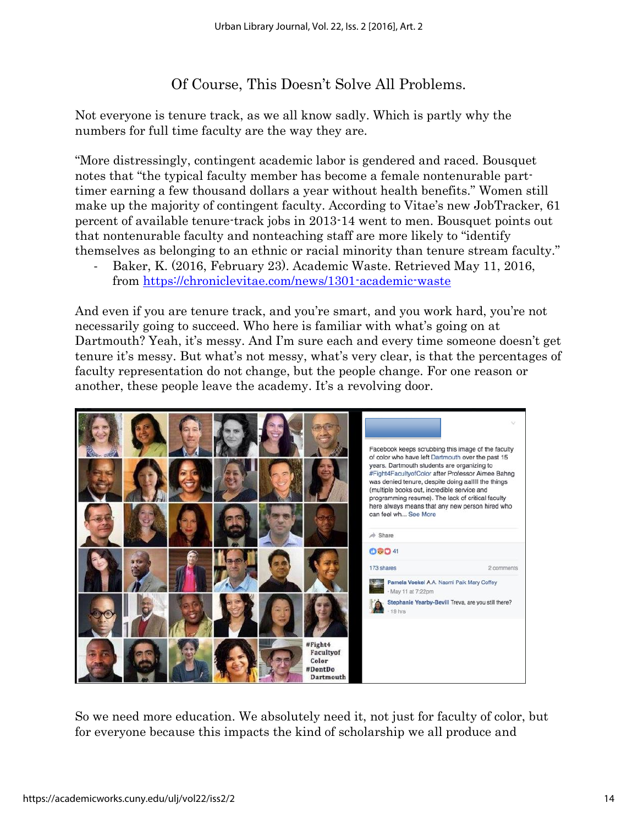## Of Course, This Doesn't Solve All Problems.

Not everyone is tenure track, as we all know sadly. Which is partly why the numbers for full time faculty are the way they are.

"More distressingly, contingent academic labor is gendered and raced. Bousquet notes that "the typical faculty member has become a female nontenurable parttimer earning a few thousand dollars a year without health benefits." Women still make up the majority of contingent faculty. According to Vitae's new JobTracker, 61 percent of available tenure-track jobs in 2013-14 went to men. Bousquet points out that nontenurable faculty and nonteaching staff are more likely to "identify themselves as belonging to an ethnic or racial minority than tenure stream faculty."

- Baker, K. (2016, February 23). Academic Waste. Retrieved May 11, 2016, from<https://chroniclevitae.com/news/1301-academic-waste>

And even if you are tenure track, and you're smart, and you work hard, you're not necessarily going to succeed. Who here is familiar with what's going on at Dartmouth? Yeah, it's messy. And I'm sure each and every time someone doesn't get tenure it's messy. But what's not messy, what's very clear, is that the percentages of faculty representation do not change, but the people change. For one reason or another, these people leave the academy. It's a revolving door.



So we need more education. We absolutely need it, not just for faculty of color, but for everyone because this impacts the kind of scholarship we all produce and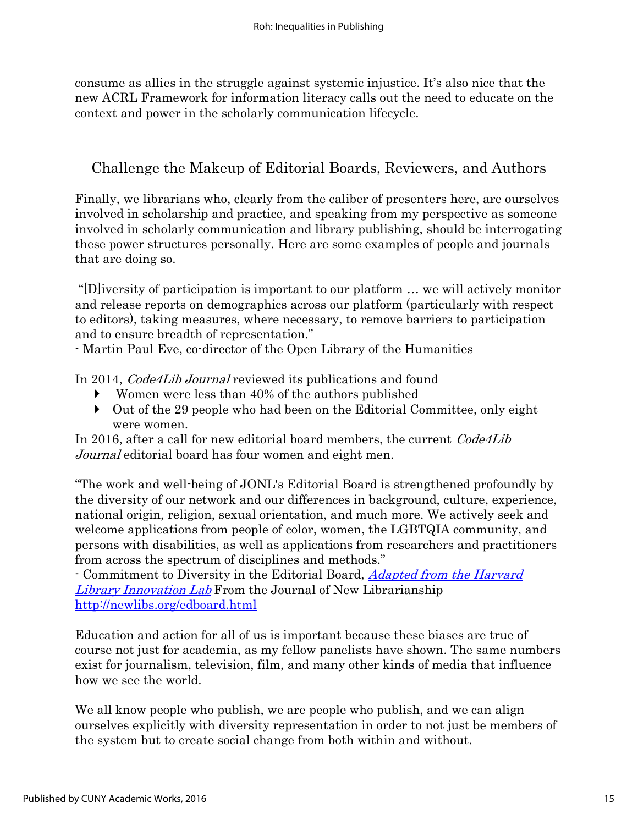consume as allies in the struggle against systemic injustice. It's also nice that the new ACRL Framework for information literacy calls out the need to educate on the context and power in the scholarly communication lifecycle.

## Challenge the Makeup of Editorial Boards, Reviewers, and Authors

Finally, we librarians who, clearly from the caliber of presenters here, are ourselves involved in scholarship and practice, and speaking from my perspective as someone involved in scholarly communication and library publishing, should be interrogating these power structures personally. Here are some examples of people and journals that are doing so.

"[D]iversity of participation is important to our platform … we will actively monitor and release reports on demographics across our platform (particularly with respect to editors), taking measures, where necessary, to remove barriers to participation and to ensure breadth of representation."

- Martin Paul Eve, co-director of the Open Library of the Humanities

In 2014, *Code4Lib Journal* reviewed its publications and found

- Women were less than 40% of the authors published
- Out of the 29 people who had been on the Editorial Committee, only eight were women.

In 2016, after a call for new editorial board members, the current *Code4Lib* Journal editorial board has four women and eight men.

"The work and well-being of JONL's Editorial Board is strengthened profoundly by the diversity of our network and our differences in background, culture, experience, national origin, religion, sexual orientation, and much more. We actively seek and welcome applications from people of color, women, the LGBTQIA community, and persons with disabilities, as well as applications from researchers and practitioners from across the spectrum of disciplines and methods."

- Commitment to Diversity in the Editorial Board, [Adapted from the Harvard](http://librarylab.law.harvard.edu/fellows)  [Library Innovation Lab](http://librarylab.law.harvard.edu/fellows) From the Journal of New Librarianship <http://newlibs.org/edboard.html>

Education and action for all of us is important because these biases are true of course not just for academia, as my fellow panelists have shown. The same numbers exist for journalism, television, film, and many other kinds of media that influence how we see the world.

We all know people who publish, we are people who publish, and we can align ourselves explicitly with diversity representation in order to not just be members of the system but to create social change from both within and without.